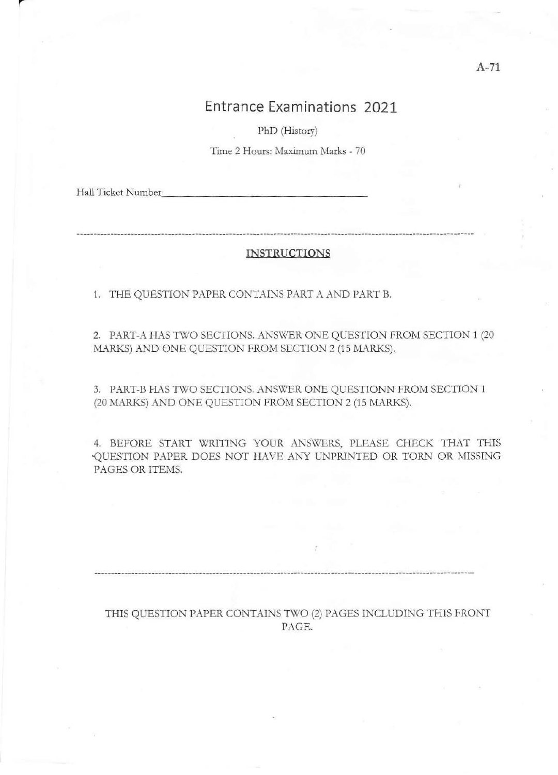**PhD (History)** 

**Time 2 Hours: Maximum Marks - 70** 

Hall Ticket Number

#### INSTRUCTIONS

1. THE QUESTION PAPER CONTAINS PART A AND PART B.

2. PART-A HAS TWO SECTIONS. ANSWER ONE QUESTION FROM SECTION 1 (20 MARKS) AND ONE QUESTION FROM SECTION 2 (15 MARKS).

3. PART-B HAS TWO SECTIONS. ANSWER ONE QUESTIONN FROM SECTION 1 (20 MARKS) AND ONE QUESTION FROM SECTION 2 (15 MARKS).

4. BEFORE START WRITING YOUR ANSWERS, PLEASE CHECK THAT THIS QUESTION PAPER DOES NOT HAVE ANY UNPRINTED OR TORN OR MISSING PAGES OR ITEMS.

THIS QUESTION PAPER CONTAINS TWO (2) PAGES INCLUDING THIS FRONT PAGE.